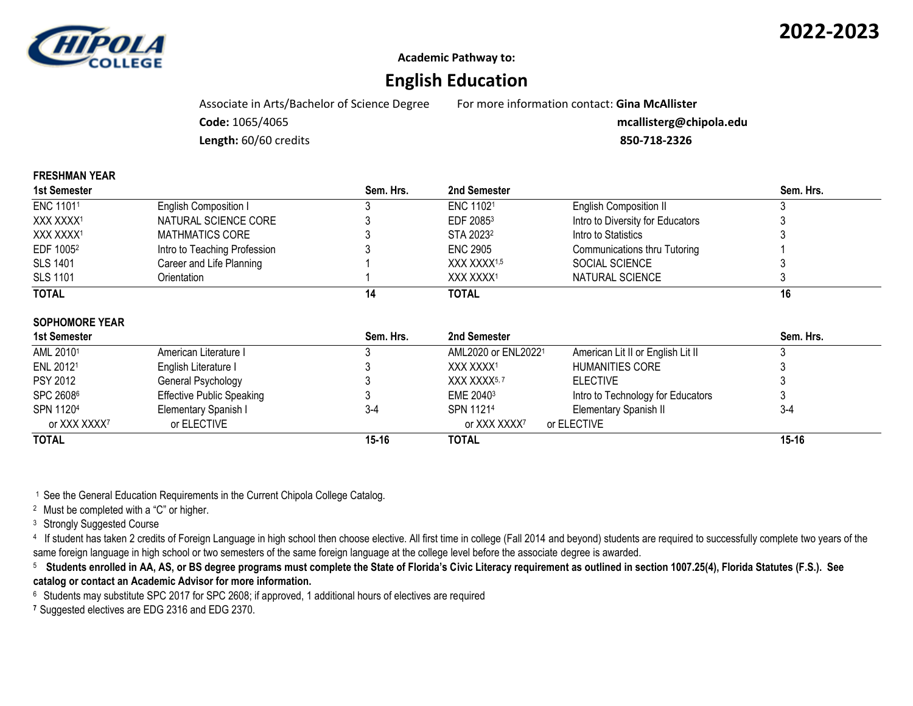

**Academic Pathway to:**

# **English Education**

Associate in Arts/Bachelor of Science Degree For more information contact: **Gina McAllister**

**Code:** 1065/4065 **mcallisterg@chipola.edu**

**Length:** 60/60 credits **850-718-2326**

| Sem. Hrs. |
|-----------|
|           |
|           |
|           |
|           |
|           |
|           |
|           |
|           |
|           |

#### **SOPHOMORE YEAR**

**FRESHMAN YEAR**

| 1st Semester             |                                  | Sem. Hrs. | 2nd Semester             |                                   | Sem. Hrs. |
|--------------------------|----------------------------------|-----------|--------------------------|-----------------------------------|-----------|
| AML 20101                | American Literature I            |           | AML2020 or ENL20221      | American Lit II or English Lit II |           |
| ENL 20121                | English Literature I             |           | XXX XXXX1                | HUMANITIES CORE                   |           |
| <b>PSY 2012</b>          | General Psychology               |           | XXX XXXX <sup>5, 7</sup> | <b>ELECTIVE</b>                   |           |
| SPC 26086                | <b>Effective Public Speaking</b> |           | EME 2040 <sup>3</sup>    | Intro to Technology for Educators |           |
| SPN 11204                | Elementary Spanish I             | 3-4       | SPN 11214                | Elementary Spanish II             | $3 - 4$   |
| or XXX XXXX <sup>7</sup> | or ELECTIVE                      |           | or XXX XXXX7             | or ELECTIVE                       |           |
| <b>TOTAL</b>             |                                  | $15 - 16$ | TOTAL                    |                                   | 15-16     |

<sup>1</sup> See the General Education Requirements in the Current Chipola College Catalog.

<sup>2</sup> Must be completed with a "C" or higher.

<sup>3</sup> Strongly Suggested Course

<sup>4</sup> If student has taken 2 credits of Foreign Language in high school then choose elective. All first time in college (Fall 2014 and beyond) students are required to successfully complete two years of the same foreign language in high school or two semesters of the same foreign language at the college level before the associate degree is awarded.

 $^{\rm 5}$  Students enrolled in AA, AS, or BS degree programs must complete the State of Florida's Civic Literacy requirement as outlined in section 1007.25(4), Florida Statutes (F.S.). See **catalog or contact an Academic Advisor for more information.**

6 Students may substitute SPC 2017 for SPC 2608; if approved, 1 additional hours of electives are required

**7** Suggested electives are EDG 2316 and EDG 2370.